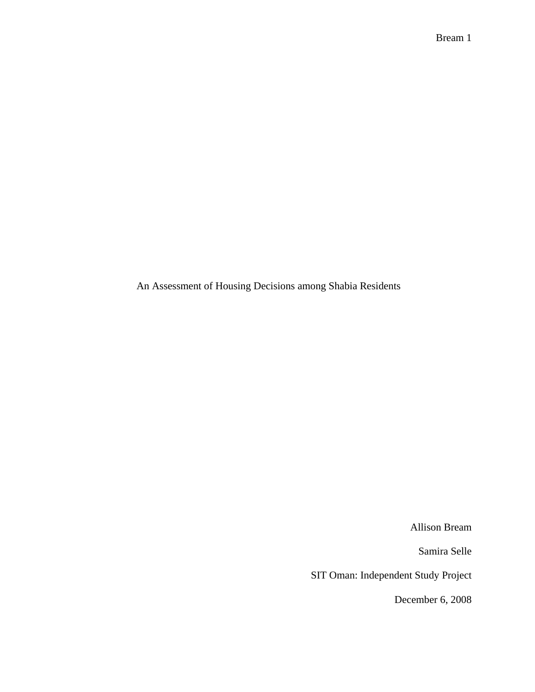An Assessment of Housing Decisions among Shabia Residents

Allison Bream

Samira Selle

SIT Oman: Independent Study Project

December 6, 2008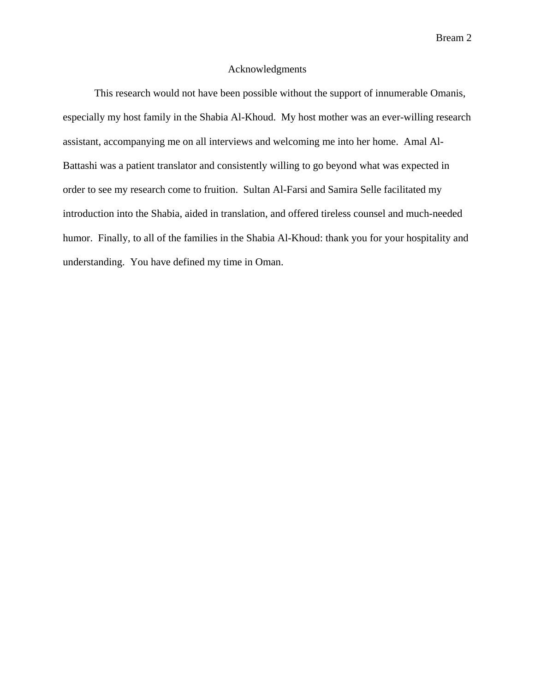## Acknowledgments

 This research would not have been possible without the support of innumerable Omanis, especially my host family in the Shabia Al-Khoud. My host mother was an ever-willing research assistant, accompanying me on all interviews and welcoming me into her home. Amal Al-Battashi was a patient translator and consistently willing to go beyond what was expected in order to see my research come to fruition. Sultan Al-Farsi and Samira Selle facilitated my introduction into the Shabia, aided in translation, and offered tireless counsel and much-needed humor. Finally, to all of the families in the Shabia Al-Khoud: thank you for your hospitality and understanding. You have defined my time in Oman.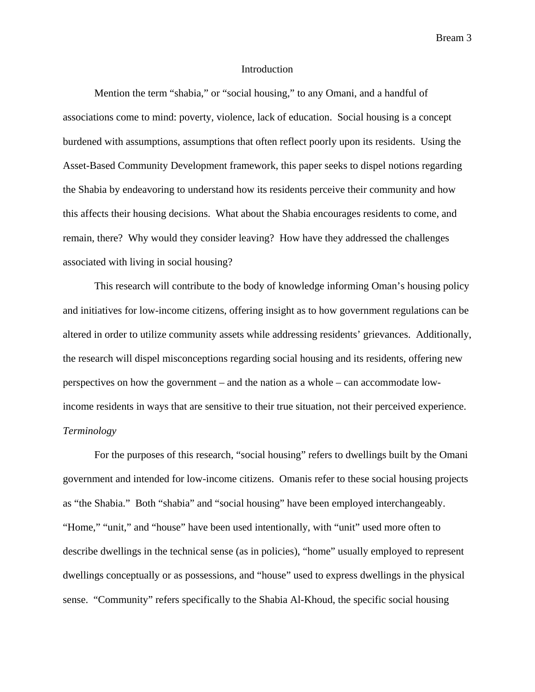### Introduction

 Mention the term "shabia," or "social housing," to any Omani, and a handful of associations come to mind: poverty, violence, lack of education. Social housing is a concept burdened with assumptions, assumptions that often reflect poorly upon its residents. Using the Asset-Based Community Development framework, this paper seeks to dispel notions regarding the Shabia by endeavoring to understand how its residents perceive their community and how this affects their housing decisions. What about the Shabia encourages residents to come, and remain, there? Why would they consider leaving? How have they addressed the challenges associated with living in social housing?

 This research will contribute to the body of knowledge informing Oman's housing policy and initiatives for low-income citizens, offering insight as to how government regulations can be altered in order to utilize community assets while addressing residents' grievances. Additionally, the research will dispel misconceptions regarding social housing and its residents, offering new perspectives on how the government – and the nation as a whole – can accommodate lowincome residents in ways that are sensitive to their true situation, not their perceived experience. *Terminology* 

 For the purposes of this research, "social housing" refers to dwellings built by the Omani government and intended for low-income citizens. Omanis refer to these social housing projects as "the Shabia." Both "shabia" and "social housing" have been employed interchangeably. "Home," "unit," and "house" have been used intentionally, with "unit" used more often to describe dwellings in the technical sense (as in policies), "home" usually employed to represent dwellings conceptually or as possessions, and "house" used to express dwellings in the physical sense. "Community" refers specifically to the Shabia Al-Khoud, the specific social housing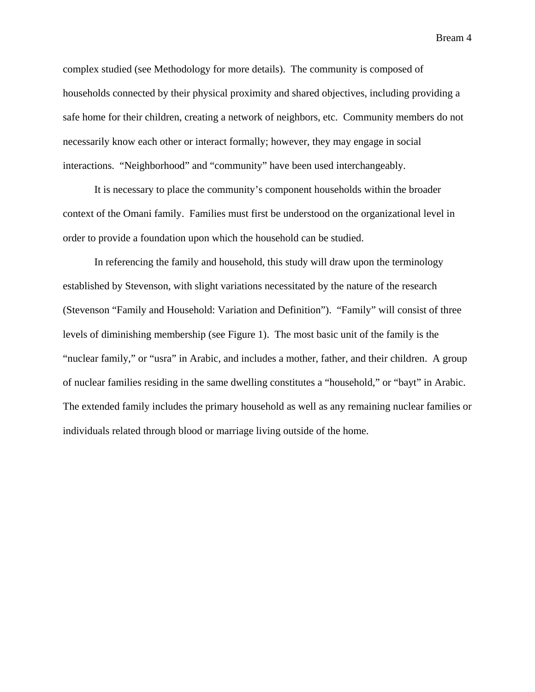complex studied (see Methodology for more details). The community is composed of households connected by their physical proximity and shared objectives, including providing a safe home for their children, creating a network of neighbors, etc. Community members do not necessarily know each other or interact formally; however, they may engage in social interactions. "Neighborhood" and "community" have been used interchangeably.

 It is necessary to place the community's component households within the broader context of the Omani family. Families must first be understood on the organizational level in order to provide a foundation upon which the household can be studied.

 In referencing the family and household, this study will draw upon the terminology established by Stevenson, with slight variations necessitated by the nature of the research (Stevenson "Family and Household: Variation and Definition"). "Family" will consist of three levels of diminishing membership (see Figure 1). The most basic unit of the family is the "nuclear family," or "usra" in Arabic, and includes a mother, father, and their children. A group of nuclear families residing in the same dwelling constitutes a "household," or "bayt" in Arabic. The extended family includes the primary household as well as any remaining nuclear families or individuals related through blood or marriage living outside of the home.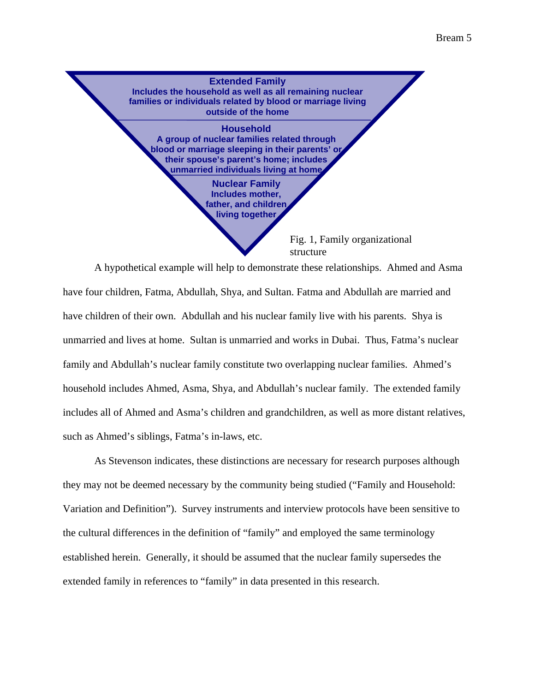

A hypothetical example will help to demonstrate these relationships. Ahmed and Asma have four children, Fatma, Abdullah, Shya, and Sultan. Fatma and Abdullah are married and have children of their own. Abdullah and his nuclear family live with his parents. Shya is unmarried and lives at home. Sultan is unmarried and works in Dubai. Thus, Fatma's nuclear family and Abdullah's nuclear family constitute two overlapping nuclear families. Ahmed's household includes Ahmed, Asma, Shya, and Abdullah's nuclear family. The extended family includes all of Ahmed and Asma's children and grandchildren, as well as more distant relatives, such as Ahmed's siblings, Fatma's in-laws, etc.

As Stevenson indicates, these distinctions are necessary for research purposes although they may not be deemed necessary by the community being studied ("Family and Household: Variation and Definition"). Survey instruments and interview protocols have been sensitive to the cultural differences in the definition of "family" and employed the same terminology established herein. Generally, it should be assumed that the nuclear family supersedes the extended family in references to "family" in data presented in this research.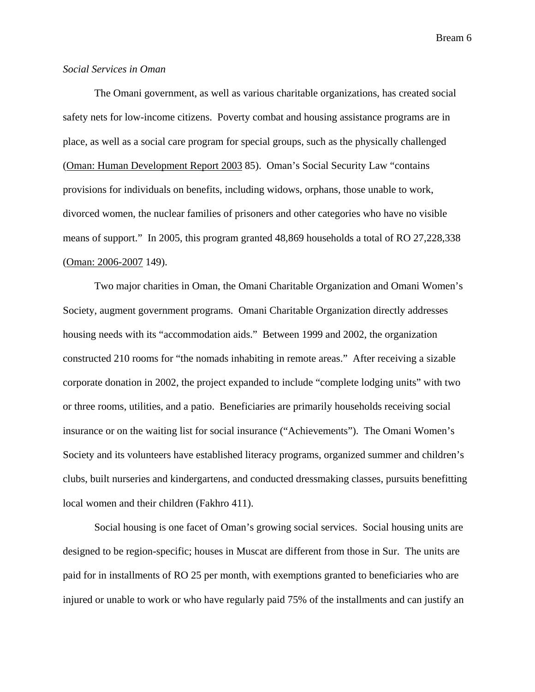## *Social Services in Oman*

 The Omani government, as well as various charitable organizations, has created social safety nets for low-income citizens. Poverty combat and housing assistance programs are in place, as well as a social care program for special groups, such as the physically challenged (Oman: Human Development Report 2003 85). Oman's Social Security Law "contains provisions for individuals on benefits, including widows, orphans, those unable to work, divorced women, the nuclear families of prisoners and other categories who have no visible means of support." In 2005, this program granted 48,869 households a total of RO 27,228,338 (Oman: 2006-2007 149).

 Two major charities in Oman, the Omani Charitable Organization and Omani Women's Society, augment government programs. Omani Charitable Organization directly addresses housing needs with its "accommodation aids." Between 1999 and 2002, the organization constructed 210 rooms for "the nomads inhabiting in remote areas." After receiving a sizable corporate donation in 2002, the project expanded to include "complete lodging units" with two or three rooms, utilities, and a patio. Beneficiaries are primarily households receiving social insurance or on the waiting list for social insurance ("Achievements"). The Omani Women's Society and its volunteers have established literacy programs, organized summer and children's clubs, built nurseries and kindergartens, and conducted dressmaking classes, pursuits benefitting local women and their children (Fakhro 411).

 Social housing is one facet of Oman's growing social services. Social housing units are designed to be region-specific; houses in Muscat are different from those in Sur. The units are paid for in installments of RO 25 per month, with exemptions granted to beneficiaries who are injured or unable to work or who have regularly paid 75% of the installments and can justify an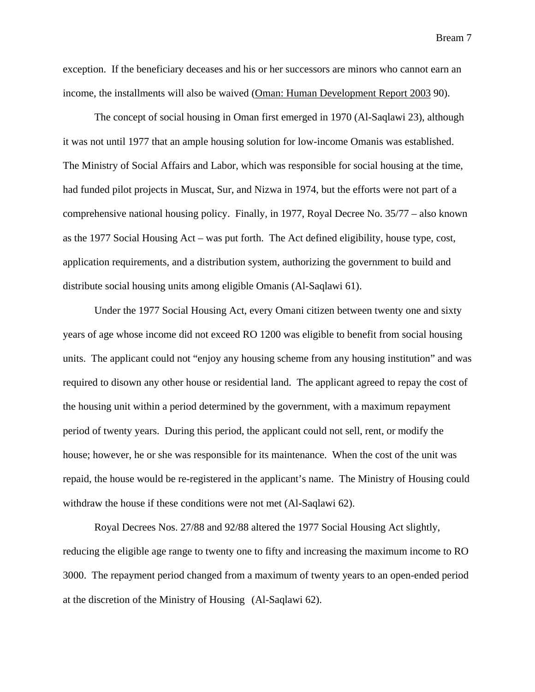exception. If the beneficiary deceases and his or her successors are minors who cannot earn an income, the installments will also be waived (Oman: Human Development Report 2003 90).

 The concept of social housing in Oman first emerged in 1970 (Al-Saqlawi 23), although it was not until 1977 that an ample housing solution for low-income Omanis was established. The Ministry of Social Affairs and Labor, which was responsible for social housing at the time, had funded pilot projects in Muscat, Sur, and Nizwa in 1974, but the efforts were not part of a comprehensive national housing policy. Finally, in 1977, Royal Decree No. 35/77 – also known as the 1977 Social Housing Act – was put forth. The Act defined eligibility, house type, cost, application requirements, and a distribution system, authorizing the government to build and distribute social housing units among eligible Omanis (Al-Saqlawi 61).

 Under the 1977 Social Housing Act, every Omani citizen between twenty one and sixty years of age whose income did not exceed RO 1200 was eligible to benefit from social housing units. The applicant could not "enjoy any housing scheme from any housing institution" and was required to disown any other house or residential land. The applicant agreed to repay the cost of the housing unit within a period determined by the government, with a maximum repayment period of twenty years. During this period, the applicant could not sell, rent, or modify the house; however, he or she was responsible for its maintenance. When the cost of the unit was repaid, the house would be re-registered in the applicant's name. The Ministry of Housing could withdraw the house if these conditions were not met (Al-Saqlawi 62).

 Royal Decrees Nos. 27/88 and 92/88 altered the 1977 Social Housing Act slightly, reducing the eligible age range to twenty one to fifty and increasing the maximum income to RO 3000. The repayment period changed from a maximum of twenty years to an open-ended period at the discretion of the Ministry of Housing (Al-Saqlawi 62).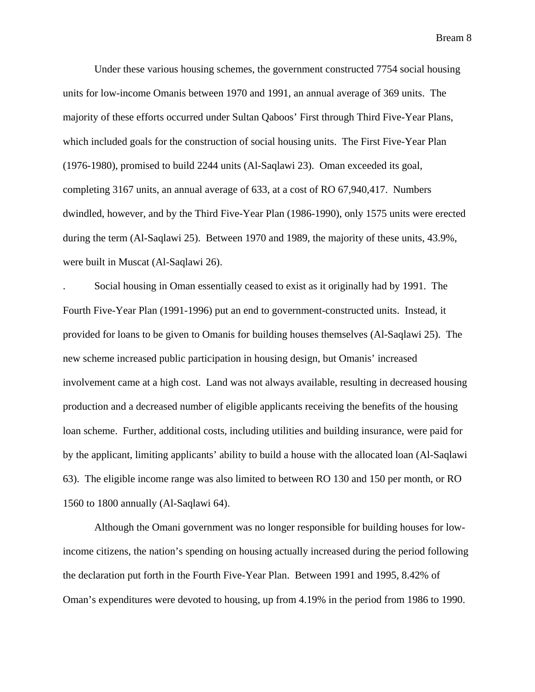Under these various housing schemes, the government constructed 7754 social housing units for low-income Omanis between 1970 and 1991, an annual average of 369 units. The majority of these efforts occurred under Sultan Qaboos' First through Third Five-Year Plans, which included goals for the construction of social housing units. The First Five-Year Plan (1976-1980), promised to build 2244 units (Al-Saqlawi 23). Oman exceeded its goal, completing 3167 units, an annual average of 633, at a cost of RO 67,940,417. Numbers dwindled, however, and by the Third Five-Year Plan (1986-1990), only 1575 units were erected during the term (Al-Saqlawi 25). Between 1970 and 1989, the majority of these units, 43.9%, were built in Muscat (Al-Saqlawi 26).

. Social housing in Oman essentially ceased to exist as it originally had by 1991. The Fourth Five-Year Plan (1991-1996) put an end to government-constructed units. Instead, it provided for loans to be given to Omanis for building houses themselves (Al-Saqlawi 25). The new scheme increased public participation in housing design, but Omanis' increased involvement came at a high cost. Land was not always available, resulting in decreased housing production and a decreased number of eligible applicants receiving the benefits of the housing loan scheme. Further, additional costs, including utilities and building insurance, were paid for by the applicant, limiting applicants' ability to build a house with the allocated loan (Al-Saqlawi 63). The eligible income range was also limited to between RO 130 and 150 per month, or RO 1560 to 1800 annually (Al-Saqlawi 64).

 Although the Omani government was no longer responsible for building houses for lowincome citizens, the nation's spending on housing actually increased during the period following the declaration put forth in the Fourth Five-Year Plan. Between 1991 and 1995, 8.42% of Oman's expenditures were devoted to housing, up from 4.19% in the period from 1986 to 1990.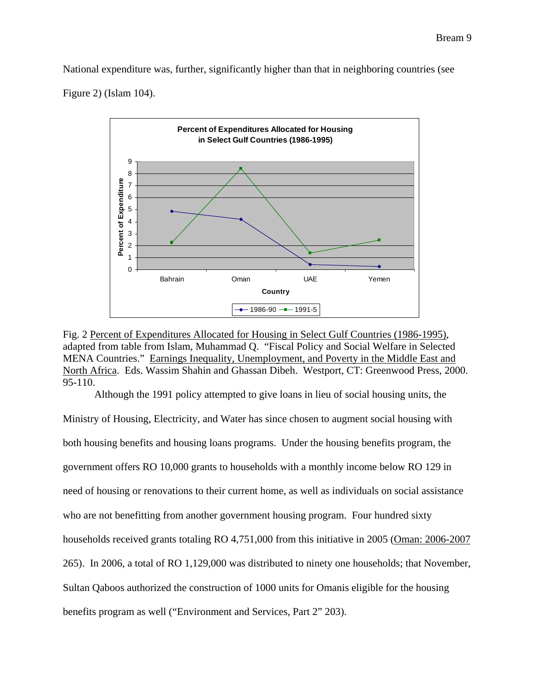National expenditure was, further, significantly higher than that in neighboring countries (see Figure 2) (Islam 104).



Fig. 2 Percent of Expenditures Allocated for Housing in Select Gulf Countries (1986-1995), adapted from table from Islam, Muhammad Q. "Fiscal Policy and Social Welfare in Selected MENA Countries." Earnings Inequality, Unemployment, and Poverty in the Middle East and North Africa. Eds. Wassim Shahin and Ghassan Dibeh. Westport, CT: Greenwood Press, 2000. 95-110.

Although the 1991 policy attempted to give loans in lieu of social housing units, the

Ministry of Housing, Electricity, and Water has since chosen to augment social housing with both housing benefits and housing loans programs. Under the housing benefits program, the government offers RO 10,000 grants to households with a monthly income below RO 129 in need of housing or renovations to their current home, as well as individuals on social assistance who are not benefitting from another government housing program. Four hundred sixty households received grants totaling RO 4,751,000 from this initiative in 2005 (Oman: 2006-2007 265). In 2006, a total of RO 1,129,000 was distributed to ninety one households; that November, Sultan Qaboos authorized the construction of 1000 units for Omanis eligible for the housing benefits program as well ("Environment and Services, Part 2" 203).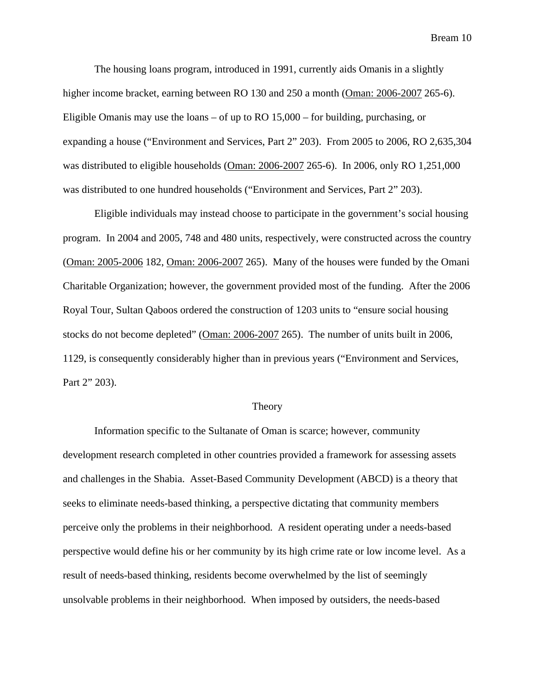The housing loans program, introduced in 1991, currently aids Omanis in a slightly higher income bracket, earning between RO 130 and 250 a month (Oman: 2006-2007 265-6). Eligible Omanis may use the loans – of up to RO 15,000 – for building, purchasing, or expanding a house ("Environment and Services, Part 2" 203). From 2005 to 2006, RO 2,635,304 was distributed to eligible households (Oman: 2006-2007 265-6). In 2006, only RO 1,251,000 was distributed to one hundred households ("Environment and Services, Part 2" 203).

 Eligible individuals may instead choose to participate in the government's social housing program. In 2004 and 2005, 748 and 480 units, respectively, were constructed across the country (Oman: 2005-2006 182, Oman: 2006-2007 265). Many of the houses were funded by the Omani Charitable Organization; however, the government provided most of the funding. After the 2006 Royal Tour, Sultan Qaboos ordered the construction of 1203 units to "ensure social housing stocks do not become depleted" (Oman: 2006-2007 265). The number of units built in 2006, 1129, is consequently considerably higher than in previous years ("Environment and Services, Part 2" 203).

### Theory

 Information specific to the Sultanate of Oman is scarce; however, community development research completed in other countries provided a framework for assessing assets and challenges in the Shabia. Asset-Based Community Development (ABCD) is a theory that seeks to eliminate needs-based thinking, a perspective dictating that community members perceive only the problems in their neighborhood. A resident operating under a needs-based perspective would define his or her community by its high crime rate or low income level. As a result of needs-based thinking, residents become overwhelmed by the list of seemingly unsolvable problems in their neighborhood. When imposed by outsiders, the needs-based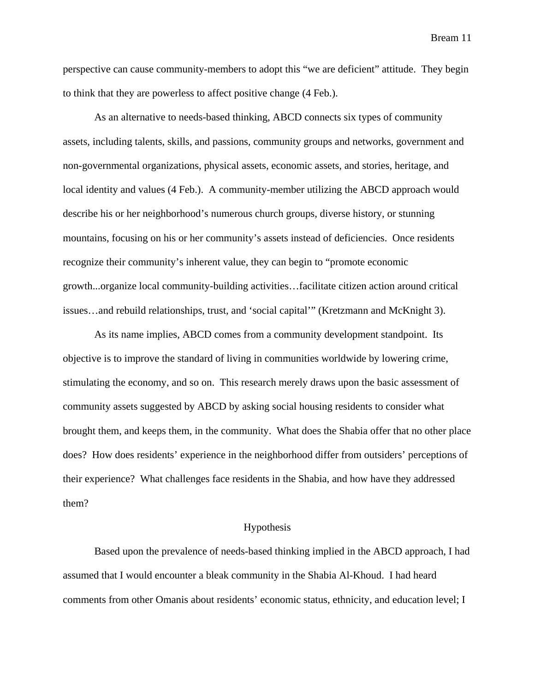perspective can cause community-members to adopt this "we are deficient" attitude. They begin to think that they are powerless to affect positive change (4 Feb.).

 As an alternative to needs-based thinking, ABCD connects six types of community assets, including talents, skills, and passions, community groups and networks, government and non-governmental organizations, physical assets, economic assets, and stories, heritage, and local identity and values (4 Feb.). A community-member utilizing the ABCD approach would describe his or her neighborhood's numerous church groups, diverse history, or stunning mountains, focusing on his or her community's assets instead of deficiencies. Once residents recognize their community's inherent value, they can begin to "promote economic growth...organize local community-building activities…facilitate citizen action around critical issues…and rebuild relationships, trust, and 'social capital'" (Kretzmann and McKnight 3).

 As its name implies, ABCD comes from a community development standpoint. Its objective is to improve the standard of living in communities worldwide by lowering crime, stimulating the economy, and so on. This research merely draws upon the basic assessment of community assets suggested by ABCD by asking social housing residents to consider what brought them, and keeps them, in the community. What does the Shabia offer that no other place does? How does residents' experience in the neighborhood differ from outsiders' perceptions of their experience? What challenges face residents in the Shabia, and how have they addressed them?

## Hypothesis

 Based upon the prevalence of needs-based thinking implied in the ABCD approach, I had assumed that I would encounter a bleak community in the Shabia Al-Khoud. I had heard comments from other Omanis about residents' economic status, ethnicity, and education level; I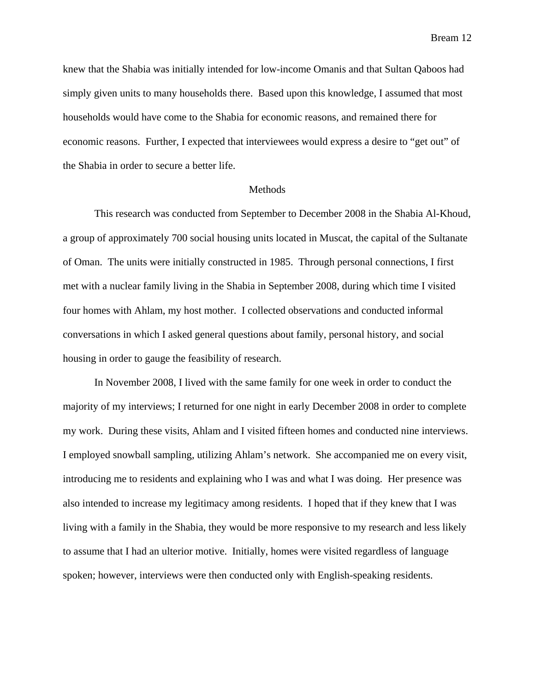knew that the Shabia was initially intended for low-income Omanis and that Sultan Qaboos had simply given units to many households there. Based upon this knowledge, I assumed that most households would have come to the Shabia for economic reasons, and remained there for economic reasons. Further, I expected that interviewees would express a desire to "get out" of the Shabia in order to secure a better life.

### Methods

 This research was conducted from September to December 2008 in the Shabia Al-Khoud, a group of approximately 700 social housing units located in Muscat, the capital of the Sultanate of Oman. The units were initially constructed in 1985. Through personal connections, I first met with a nuclear family living in the Shabia in September 2008, during which time I visited four homes with Ahlam, my host mother. I collected observations and conducted informal conversations in which I asked general questions about family, personal history, and social housing in order to gauge the feasibility of research.

 In November 2008, I lived with the same family for one week in order to conduct the majority of my interviews; I returned for one night in early December 2008 in order to complete my work. During these visits, Ahlam and I visited fifteen homes and conducted nine interviews. I employed snowball sampling, utilizing Ahlam's network. She accompanied me on every visit, introducing me to residents and explaining who I was and what I was doing. Her presence was also intended to increase my legitimacy among residents. I hoped that if they knew that I was living with a family in the Shabia, they would be more responsive to my research and less likely to assume that I had an ulterior motive. Initially, homes were visited regardless of language spoken; however, interviews were then conducted only with English-speaking residents.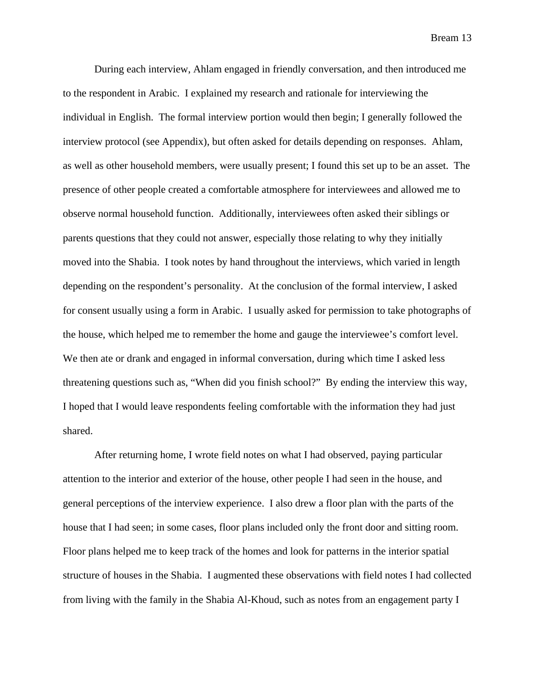During each interview, Ahlam engaged in friendly conversation, and then introduced me to the respondent in Arabic. I explained my research and rationale for interviewing the individual in English. The formal interview portion would then begin; I generally followed the interview protocol (see Appendix), but often asked for details depending on responses. Ahlam, as well as other household members, were usually present; I found this set up to be an asset. The presence of other people created a comfortable atmosphere for interviewees and allowed me to observe normal household function. Additionally, interviewees often asked their siblings or parents questions that they could not answer, especially those relating to why they initially moved into the Shabia. I took notes by hand throughout the interviews, which varied in length depending on the respondent's personality. At the conclusion of the formal interview, I asked for consent usually using a form in Arabic. I usually asked for permission to take photographs of the house, which helped me to remember the home and gauge the interviewee's comfort level. We then ate or drank and engaged in informal conversation, during which time I asked less threatening questions such as, "When did you finish school?" By ending the interview this way, I hoped that I would leave respondents feeling comfortable with the information they had just shared.

 After returning home, I wrote field notes on what I had observed, paying particular attention to the interior and exterior of the house, other people I had seen in the house, and general perceptions of the interview experience. I also drew a floor plan with the parts of the house that I had seen; in some cases, floor plans included only the front door and sitting room. Floor plans helped me to keep track of the homes and look for patterns in the interior spatial structure of houses in the Shabia. I augmented these observations with field notes I had collected from living with the family in the Shabia Al-Khoud, such as notes from an engagement party I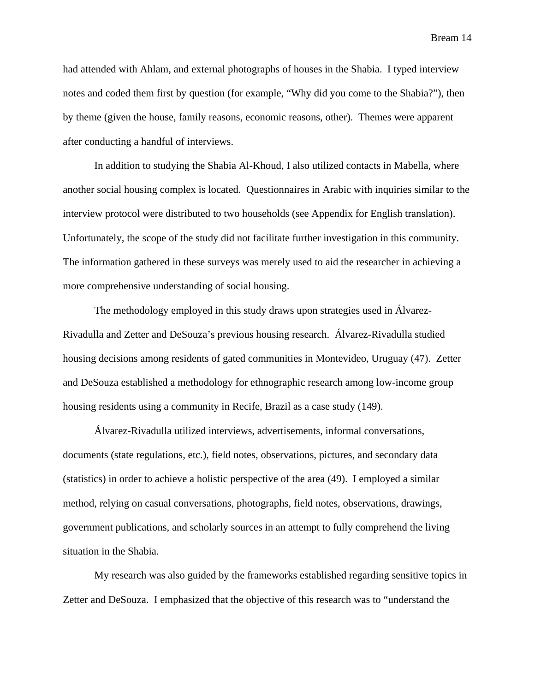had attended with Ahlam, and external photographs of houses in the Shabia. I typed interview notes and coded them first by question (for example, "Why did you come to the Shabia?"), then by theme (given the house, family reasons, economic reasons, other). Themes were apparent after conducting a handful of interviews.

 In addition to studying the Shabia Al-Khoud, I also utilized contacts in Mabella, where another social housing complex is located. Questionnaires in Arabic with inquiries similar to the interview protocol were distributed to two households (see Appendix for English translation). Unfortunately, the scope of the study did not facilitate further investigation in this community. The information gathered in these surveys was merely used to aid the researcher in achieving a more comprehensive understanding of social housing.

 The methodology employed in this study draws upon strategies used in Álvarez-Rivadulla and Zetter and DeSouza's previous housing research. Álvarez-Rivadulla studied housing decisions among residents of gated communities in Montevideo, Uruguay (47). Zetter and DeSouza established a methodology for ethnographic research among low-income group housing residents using a community in Recife, Brazil as a case study (149).

 Álvarez-Rivadulla utilized interviews, advertisements, informal conversations, documents (state regulations, etc.), field notes, observations, pictures, and secondary data (statistics) in order to achieve a holistic perspective of the area (49). I employed a similar method, relying on casual conversations, photographs, field notes, observations, drawings, government publications, and scholarly sources in an attempt to fully comprehend the living situation in the Shabia.

 My research was also guided by the frameworks established regarding sensitive topics in Zetter and DeSouza. I emphasized that the objective of this research was to "understand the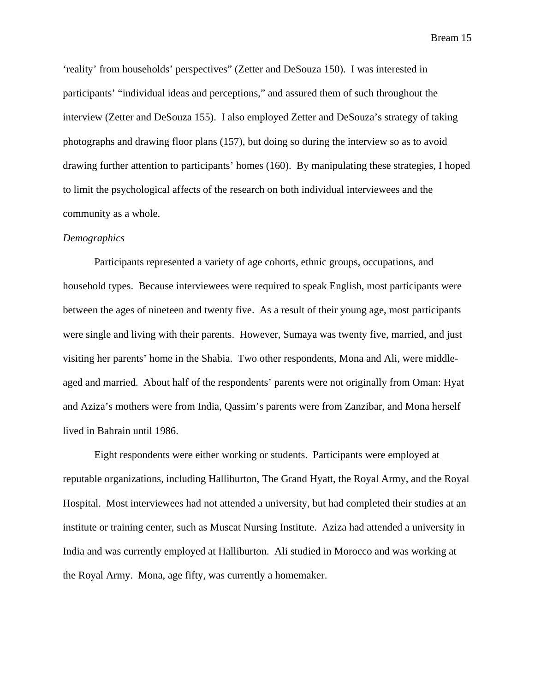'reality' from households' perspectives" (Zetter and DeSouza 150). I was interested in participants' "individual ideas and perceptions," and assured them of such throughout the interview (Zetter and DeSouza 155). I also employed Zetter and DeSouza's strategy of taking photographs and drawing floor plans (157), but doing so during the interview so as to avoid drawing further attention to participants' homes (160). By manipulating these strategies, I hoped to limit the psychological affects of the research on both individual interviewees and the community as a whole.

#### *Demographics*

 Participants represented a variety of age cohorts, ethnic groups, occupations, and household types. Because interviewees were required to speak English, most participants were between the ages of nineteen and twenty five. As a result of their young age, most participants were single and living with their parents. However, Sumaya was twenty five, married, and just visiting her parents' home in the Shabia. Two other respondents, Mona and Ali, were middleaged and married. About half of the respondents' parents were not originally from Oman: Hyat and Aziza's mothers were from India, Qassim's parents were from Zanzibar, and Mona herself lived in Bahrain until 1986.

 Eight respondents were either working or students. Participants were employed at reputable organizations, including Halliburton, The Grand Hyatt, the Royal Army, and the Royal Hospital. Most interviewees had not attended a university, but had completed their studies at an institute or training center, such as Muscat Nursing Institute. Aziza had attended a university in India and was currently employed at Halliburton. Ali studied in Morocco and was working at the Royal Army. Mona, age fifty, was currently a homemaker.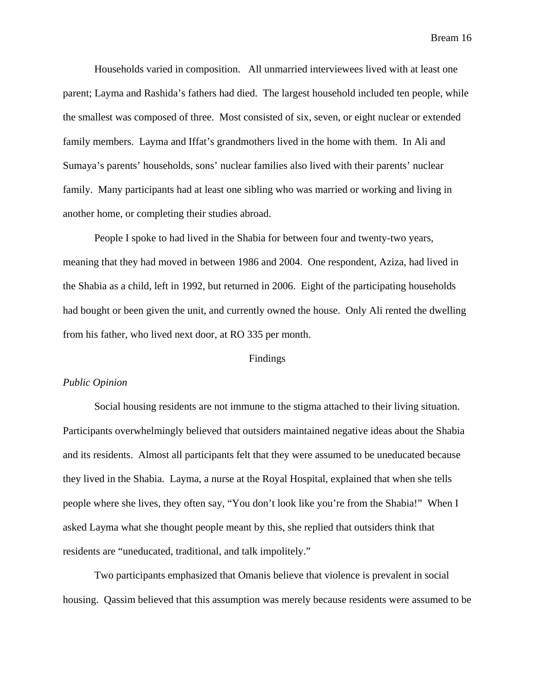Households varied in composition. All unmarried interviewees lived with at least one parent; Layma and Rashida's fathers had died. The largest household included ten people, while the smallest was composed of three. Most consisted of six, seven, or eight nuclear or extended family members. Layma and Iffat's grandmothers lived in the home with them. In Ali and Sumaya's parents' households, sons' nuclear families also lived with their parents' nuclear family. Many participants had at least one sibling who was married or working and living in another home, or completing their studies abroad.

 People I spoke to had lived in the Shabia for between four and twenty-two years, meaning that they had moved in between 1986 and 2004. One respondent, Aziza, had lived in the Shabia as a child, left in 1992, but returned in 2006. Eight of the participating households had bought or been given the unit, and currently owned the house. Only Ali rented the dwelling from his father, who lived next door, at RO 335 per month.

## Findings

## *Public Opinion*

 Social housing residents are not immune to the stigma attached to their living situation. Participants overwhelmingly believed that outsiders maintained negative ideas about the Shabia and its residents. Almost all participants felt that they were assumed to be uneducated because they lived in the Shabia. Layma, a nurse at the Royal Hospital, explained that when she tells people where she lives, they often say, "You don't look like you're from the Shabia!" When I asked Layma what she thought people meant by this, she replied that outsiders think that residents are "uneducated, traditional, and talk impolitely."

 Two participants emphasized that Omanis believe that violence is prevalent in social housing. Qassim believed that this assumption was merely because residents were assumed to be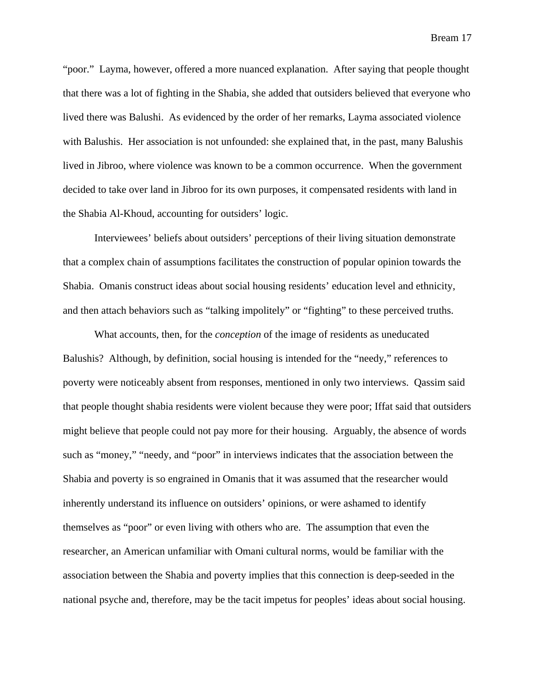"poor." Layma, however, offered a more nuanced explanation. After saying that people thought that there was a lot of fighting in the Shabia, she added that outsiders believed that everyone who lived there was Balushi. As evidenced by the order of her remarks, Layma associated violence with Balushis. Her association is not unfounded: she explained that, in the past, many Balushis lived in Jibroo, where violence was known to be a common occurrence. When the government decided to take over land in Jibroo for its own purposes, it compensated residents with land in the Shabia Al-Khoud, accounting for outsiders' logic.

 Interviewees' beliefs about outsiders' perceptions of their living situation demonstrate that a complex chain of assumptions facilitates the construction of popular opinion towards the Shabia. Omanis construct ideas about social housing residents' education level and ethnicity, and then attach behaviors such as "talking impolitely" or "fighting" to these perceived truths.

 What accounts, then, for the *conception* of the image of residents as uneducated Balushis? Although, by definition, social housing is intended for the "needy," references to poverty were noticeably absent from responses, mentioned in only two interviews. Qassim said that people thought shabia residents were violent because they were poor; Iffat said that outsiders might believe that people could not pay more for their housing. Arguably, the absence of words such as "money," "needy, and "poor" in interviews indicates that the association between the Shabia and poverty is so engrained in Omanis that it was assumed that the researcher would inherently understand its influence on outsiders' opinions, or were ashamed to identify themselves as "poor" or even living with others who are. The assumption that even the researcher, an American unfamiliar with Omani cultural norms, would be familiar with the association between the Shabia and poverty implies that this connection is deep-seeded in the national psyche and, therefore, may be the tacit impetus for peoples' ideas about social housing.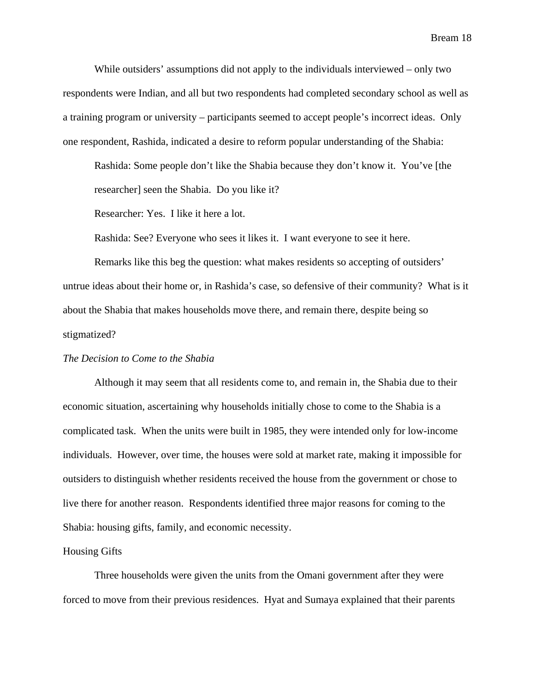While outsiders' assumptions did not apply to the individuals interviewed – only two respondents were Indian, and all but two respondents had completed secondary school as well as a training program or university – participants seemed to accept people's incorrect ideas. Only one respondent, Rashida, indicated a desire to reform popular understanding of the Shabia:

 Rashida: Some people don't like the Shabia because they don't know it. You've [the researcher] seen the Shabia. Do you like it?

Researcher: Yes. I like it here a lot.

Rashida: See? Everyone who sees it likes it. I want everyone to see it here.

 Remarks like this beg the question: what makes residents so accepting of outsiders' untrue ideas about their home or, in Rashida's case, so defensive of their community? What is it about the Shabia that makes households move there, and remain there, despite being so stigmatized?

## *The Decision to Come to the Shabia*

 Although it may seem that all residents come to, and remain in, the Shabia due to their economic situation, ascertaining why households initially chose to come to the Shabia is a complicated task. When the units were built in 1985, they were intended only for low-income individuals. However, over time, the houses were sold at market rate, making it impossible for outsiders to distinguish whether residents received the house from the government or chose to live there for another reason. Respondents identified three major reasons for coming to the Shabia: housing gifts, family, and economic necessity.

#### Housing Gifts

 Three households were given the units from the Omani government after they were forced to move from their previous residences. Hyat and Sumaya explained that their parents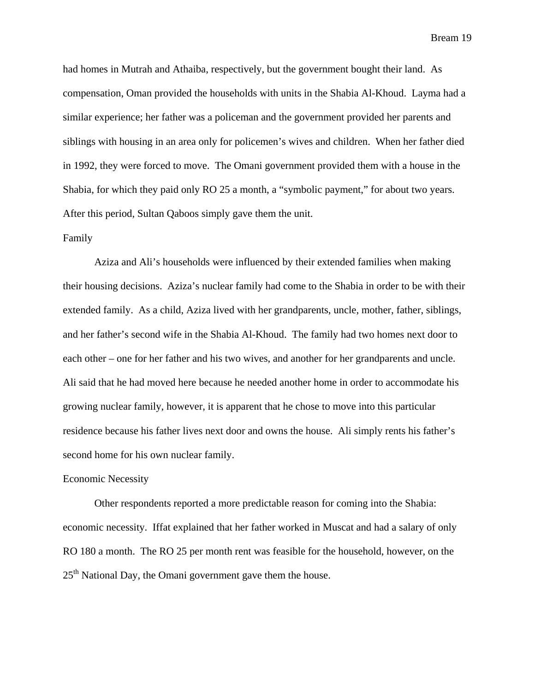had homes in Mutrah and Athaiba, respectively, but the government bought their land. As compensation, Oman provided the households with units in the Shabia Al-Khoud. Layma had a similar experience; her father was a policeman and the government provided her parents and siblings with housing in an area only for policemen's wives and children. When her father died in 1992, they were forced to move. The Omani government provided them with a house in the Shabia, for which they paid only RO 25 a month, a "symbolic payment," for about two years. After this period, Sultan Qaboos simply gave them the unit.

# Family

 Aziza and Ali's households were influenced by their extended families when making their housing decisions. Aziza's nuclear family had come to the Shabia in order to be with their extended family. As a child, Aziza lived with her grandparents, uncle, mother, father, siblings, and her father's second wife in the Shabia Al-Khoud. The family had two homes next door to each other – one for her father and his two wives, and another for her grandparents and uncle. Ali said that he had moved here because he needed another home in order to accommodate his growing nuclear family, however, it is apparent that he chose to move into this particular residence because his father lives next door and owns the house. Ali simply rents his father's second home for his own nuclear family.

### Economic Necessity

 Other respondents reported a more predictable reason for coming into the Shabia: economic necessity. Iffat explained that her father worked in Muscat and had a salary of only RO 180 a month. The RO 25 per month rent was feasible for the household, however, on the  $25<sup>th</sup>$  National Day, the Omani government gave them the house.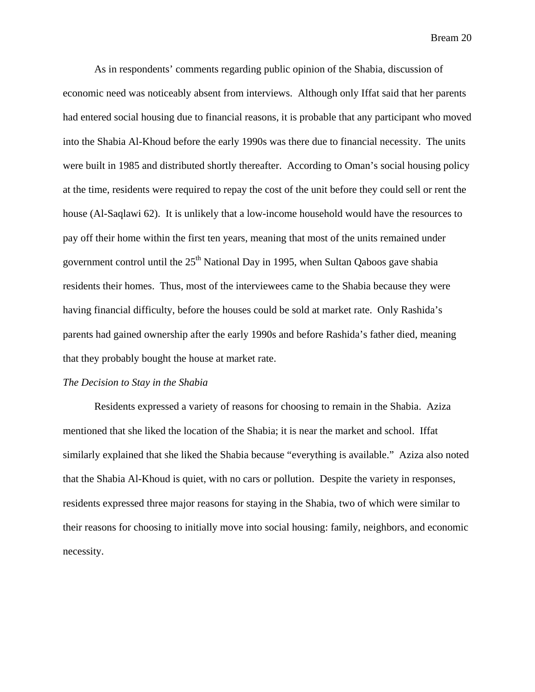As in respondents' comments regarding public opinion of the Shabia, discussion of economic need was noticeably absent from interviews. Although only Iffat said that her parents had entered social housing due to financial reasons, it is probable that any participant who moved into the Shabia Al-Khoud before the early 1990s was there due to financial necessity. The units were built in 1985 and distributed shortly thereafter. According to Oman's social housing policy at the time, residents were required to repay the cost of the unit before they could sell or rent the house (Al-Saqlawi 62). It is unlikely that a low-income household would have the resources to pay off their home within the first ten years, meaning that most of the units remained under government control until the  $25<sup>th</sup>$  National Day in 1995, when Sultan Qaboos gave shabia residents their homes. Thus, most of the interviewees came to the Shabia because they were having financial difficulty, before the houses could be sold at market rate. Only Rashida's parents had gained ownership after the early 1990s and before Rashida's father died, meaning that they probably bought the house at market rate.

# *The Decision to Stay in the Shabia*

 Residents expressed a variety of reasons for choosing to remain in the Shabia. Aziza mentioned that she liked the location of the Shabia; it is near the market and school. Iffat similarly explained that she liked the Shabia because "everything is available." Aziza also noted that the Shabia Al-Khoud is quiet, with no cars or pollution. Despite the variety in responses, residents expressed three major reasons for staying in the Shabia, two of which were similar to their reasons for choosing to initially move into social housing: family, neighbors, and economic necessity.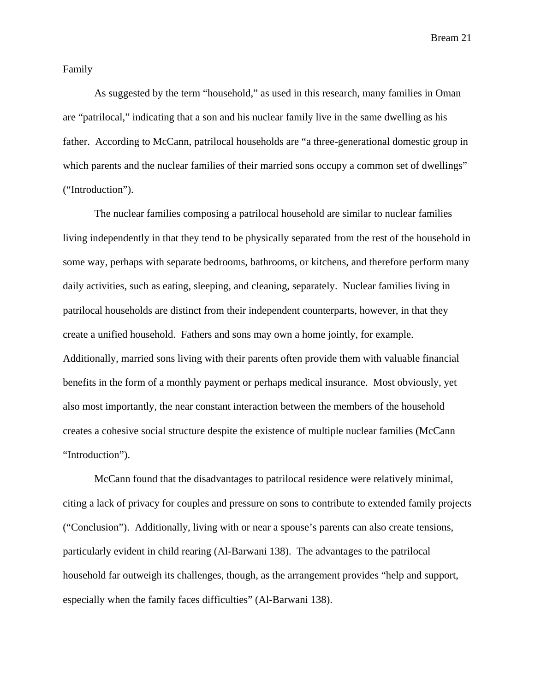Family

 As suggested by the term "household," as used in this research, many families in Oman are "patrilocal," indicating that a son and his nuclear family live in the same dwelling as his father. According to McCann, patrilocal households are "a three-generational domestic group in which parents and the nuclear families of their married sons occupy a common set of dwellings" ("Introduction").

 The nuclear families composing a patrilocal household are similar to nuclear families living independently in that they tend to be physically separated from the rest of the household in some way, perhaps with separate bedrooms, bathrooms, or kitchens, and therefore perform many daily activities, such as eating, sleeping, and cleaning, separately. Nuclear families living in patrilocal households are distinct from their independent counterparts, however, in that they create a unified household. Fathers and sons may own a home jointly, for example. Additionally, married sons living with their parents often provide them with valuable financial benefits in the form of a monthly payment or perhaps medical insurance. Most obviously, yet also most importantly, the near constant interaction between the members of the household creates a cohesive social structure despite the existence of multiple nuclear families (McCann "Introduction").

 McCann found that the disadvantages to patrilocal residence were relatively minimal, citing a lack of privacy for couples and pressure on sons to contribute to extended family projects ("Conclusion"). Additionally, living with or near a spouse's parents can also create tensions, particularly evident in child rearing (Al-Barwani 138). The advantages to the patrilocal household far outweigh its challenges, though, as the arrangement provides "help and support, especially when the family faces difficulties" (Al-Barwani 138).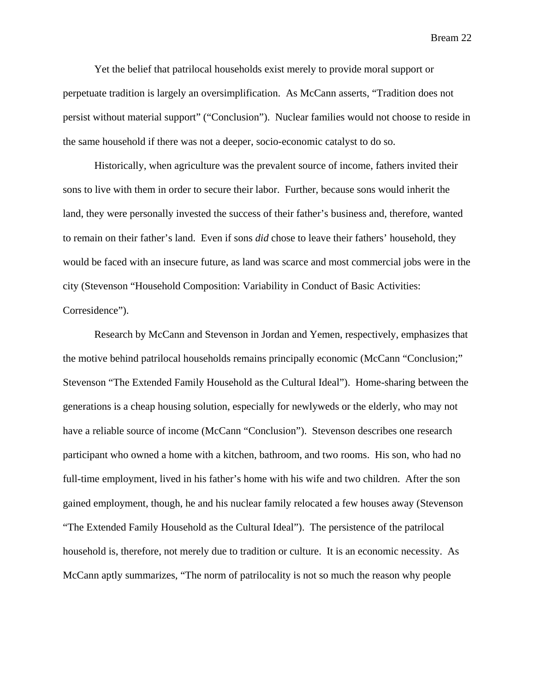Yet the belief that patrilocal households exist merely to provide moral support or perpetuate tradition is largely an oversimplification. As McCann asserts, "Tradition does not persist without material support" ("Conclusion"). Nuclear families would not choose to reside in the same household if there was not a deeper, socio-economic catalyst to do so.

 Historically, when agriculture was the prevalent source of income, fathers invited their sons to live with them in order to secure their labor. Further, because sons would inherit the land, they were personally invested the success of their father's business and, therefore, wanted to remain on their father's land. Even if sons *did* chose to leave their fathers' household, they would be faced with an insecure future, as land was scarce and most commercial jobs were in the city (Stevenson "Household Composition: Variability in Conduct of Basic Activities: Corresidence").

 Research by McCann and Stevenson in Jordan and Yemen, respectively, emphasizes that the motive behind patrilocal households remains principally economic (McCann "Conclusion;" Stevenson "The Extended Family Household as the Cultural Ideal"). Home-sharing between the generations is a cheap housing solution, especially for newlyweds or the elderly, who may not have a reliable source of income (McCann "Conclusion"). Stevenson describes one research participant who owned a home with a kitchen, bathroom, and two rooms. His son, who had no full-time employment, lived in his father's home with his wife and two children. After the son gained employment, though, he and his nuclear family relocated a few houses away (Stevenson "The Extended Family Household as the Cultural Ideal"). The persistence of the patrilocal household is, therefore, not merely due to tradition or culture. It is an economic necessity. As McCann aptly summarizes, "The norm of patrilocality is not so much the reason why people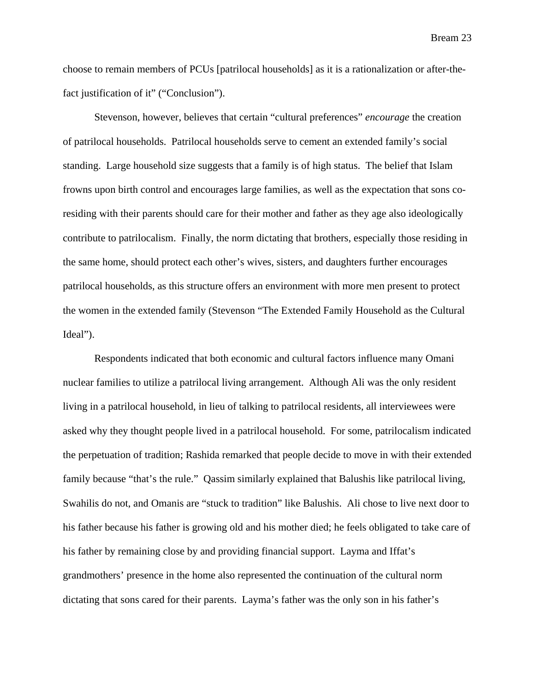choose to remain members of PCUs [patrilocal households] as it is a rationalization or after-thefact justification of it" ("Conclusion").

 Stevenson, however, believes that certain "cultural preferences" *encourage* the creation of patrilocal households. Patrilocal households serve to cement an extended family's social standing. Large household size suggests that a family is of high status. The belief that Islam frowns upon birth control and encourages large families, as well as the expectation that sons coresiding with their parents should care for their mother and father as they age also ideologically contribute to patrilocalism. Finally, the norm dictating that brothers, especially those residing in the same home, should protect each other's wives, sisters, and daughters further encourages patrilocal households, as this structure offers an environment with more men present to protect the women in the extended family (Stevenson "The Extended Family Household as the Cultural Ideal").

 Respondents indicated that both economic and cultural factors influence many Omani nuclear families to utilize a patrilocal living arrangement. Although Ali was the only resident living in a patrilocal household, in lieu of talking to patrilocal residents, all interviewees were asked why they thought people lived in a patrilocal household. For some, patrilocalism indicated the perpetuation of tradition; Rashida remarked that people decide to move in with their extended family because "that's the rule." Qassim similarly explained that Balushis like patrilocal living, Swahilis do not, and Omanis are "stuck to tradition" like Balushis. Ali chose to live next door to his father because his father is growing old and his mother died; he feels obligated to take care of his father by remaining close by and providing financial support. Layma and Iffat's grandmothers' presence in the home also represented the continuation of the cultural norm dictating that sons cared for their parents. Layma's father was the only son in his father's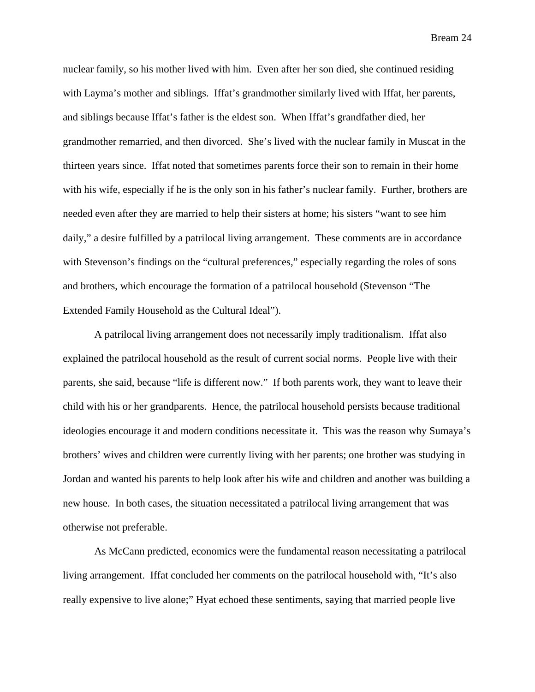nuclear family, so his mother lived with him. Even after her son died, she continued residing with Layma's mother and siblings. Iffat's grandmother similarly lived with Iffat, her parents, and siblings because Iffat's father is the eldest son. When Iffat's grandfather died, her grandmother remarried, and then divorced. She's lived with the nuclear family in Muscat in the thirteen years since. Iffat noted that sometimes parents force their son to remain in their home with his wife, especially if he is the only son in his father's nuclear family. Further, brothers are needed even after they are married to help their sisters at home; his sisters "want to see him daily," a desire fulfilled by a patrilocal living arrangement. These comments are in accordance with Stevenson's findings on the "cultural preferences," especially regarding the roles of sons and brothers, which encourage the formation of a patrilocal household (Stevenson "The Extended Family Household as the Cultural Ideal").

 A patrilocal living arrangement does not necessarily imply traditionalism. Iffat also explained the patrilocal household as the result of current social norms. People live with their parents, she said, because "life is different now." If both parents work, they want to leave their child with his or her grandparents. Hence, the patrilocal household persists because traditional ideologies encourage it and modern conditions necessitate it. This was the reason why Sumaya's brothers' wives and children were currently living with her parents; one brother was studying in Jordan and wanted his parents to help look after his wife and children and another was building a new house. In both cases, the situation necessitated a patrilocal living arrangement that was otherwise not preferable.

 As McCann predicted, economics were the fundamental reason necessitating a patrilocal living arrangement. Iffat concluded her comments on the patrilocal household with, "It's also really expensive to live alone;" Hyat echoed these sentiments, saying that married people live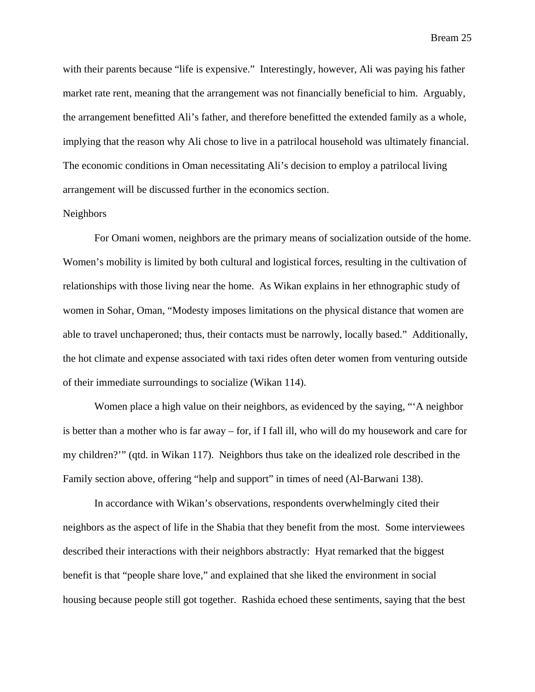with their parents because "life is expensive." Interestingly, however, Ali was paying his father market rate rent, meaning that the arrangement was not financially beneficial to him. Arguably, the arrangement benefitted Ali's father, and therefore benefitted the extended family as a whole, implying that the reason why Ali chose to live in a patrilocal household was ultimately financial. The economic conditions in Oman necessitating Ali's decision to employ a patrilocal living arrangement will be discussed further in the economics section.

### Neighbors

 For Omani women, neighbors are the primary means of socialization outside of the home. Women's mobility is limited by both cultural and logistical forces, resulting in the cultivation of relationships with those living near the home. As Wikan explains in her ethnographic study of women in Sohar, Oman, "Modesty imposes limitations on the physical distance that women are able to travel unchaperoned; thus, their contacts must be narrowly, locally based." Additionally, the hot climate and expense associated with taxi rides often deter women from venturing outside of their immediate surroundings to socialize (Wikan 114).

 Women place a high value on their neighbors, as evidenced by the saying, "'A neighbor is better than a mother who is far away – for, if I fall ill, who will do my housework and care for my children?'" (qtd. in Wikan 117). Neighbors thus take on the idealized role described in the Family section above, offering "help and support" in times of need (Al-Barwani 138).

 In accordance with Wikan's observations, respondents overwhelmingly cited their neighbors as the aspect of life in the Shabia that they benefit from the most. Some interviewees described their interactions with their neighbors abstractly: Hyat remarked that the biggest benefit is that "people share love," and explained that she liked the environment in social housing because people still got together. Rashida echoed these sentiments, saying that the best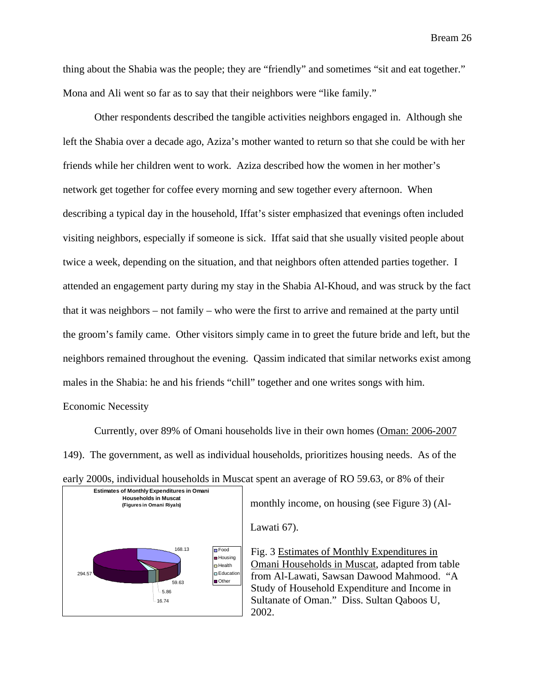thing about the Shabia was the people; they are "friendly" and sometimes "sit and eat together." Mona and Ali went so far as to say that their neighbors were "like family."

 Other respondents described the tangible activities neighbors engaged in. Although she left the Shabia over a decade ago, Aziza's mother wanted to return so that she could be with her friends while her children went to work. Aziza described how the women in her mother's network get together for coffee every morning and sew together every afternoon. When describing a typical day in the household, Iffat's sister emphasized that evenings often included visiting neighbors, especially if someone is sick. Iffat said that she usually visited people about twice a week, depending on the situation, and that neighbors often attended parties together. I attended an engagement party during my stay in the Shabia Al-Khoud, and was struck by the fact that it was neighbors – not family – who were the first to arrive and remained at the party until the groom's family came. Other visitors simply came in to greet the future bride and left, but the neighbors remained throughout the evening. Qassim indicated that similar networks exist among males in the Shabia: he and his friends "chill" together and one writes songs with him. Economic Necessity

 Currently, over 89% of Omani households live in their own homes (Oman: 2006-2007 149). The government, as well as individual households, prioritizes housing needs. As of the





Lawati 67).

Fig. 3 Estimates of Monthly Expenditures in Omani Households in Muscat, adapted from table from Al-Lawati, Sawsan Dawood Mahmood. "A Study of Household Expenditure and Income in Sultanate of Oman." Diss. Sultan Qaboos U, 2002.

monthly income, on housing (see Figure 3) (Al-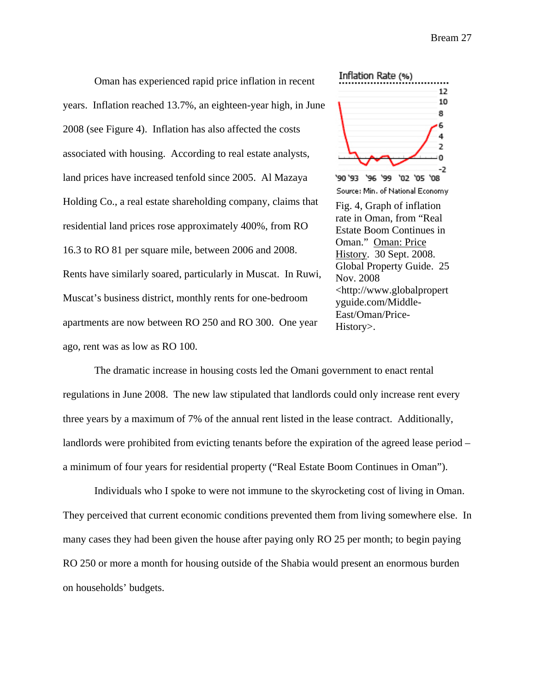Oman has experienced rapid price inflation in recent years. Inflation reached 13.7%, an eighteen-year high, in June 2008 (see Figure 4). Inflation has also affected the costs associated with housing. According to real estate analysts, land prices have increased tenfold since 2005. Al Mazaya Holding Co., a real estate shareholding company, claims that residential land prices rose approximately 400%, from RO 16.3 to RO 81 per square mile, between 2006 and 2008. Rents have similarly soared, particularly in Muscat. In Ruwi, Muscat's business district, monthly rents for one-bedroom apartments are now between RO 250 and RO 300. One year ago, rent was as low as RO 100.



[East/Oman/Price-](http://www.globalpropertyguide.com/Middle-East/Oman/Price-History)

[History](http://www.globalpropertyguide.com/Middle-East/Oman/Price-History)>.

 The dramatic increase in housing costs led the Omani government to enact rental regulations in June 2008. The new law stipulated that landlords could only increase rent every three years by a maximum of 7% of the annual rent listed in the lease contract. Additionally, landlords were prohibited from evicting tenants before the expiration of the agreed lease period – a minimum of four years for residential property ("Real Estate Boom Continues in Oman").

 Individuals who I spoke to were not immune to the skyrocketing cost of living in Oman. They perceived that current economic conditions prevented them from living somewhere else. In many cases they had been given the house after paying only RO 25 per month; to begin paying RO 250 or more a month for housing outside of the Shabia would present an enormous burden on households' budgets.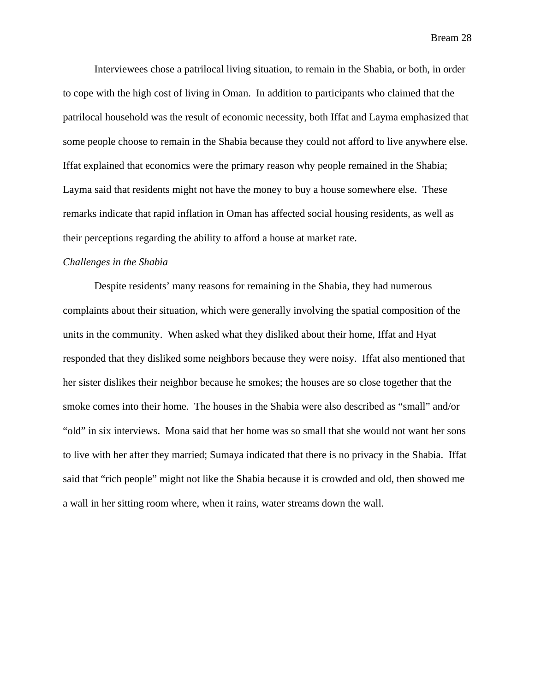Interviewees chose a patrilocal living situation, to remain in the Shabia, or both, in order to cope with the high cost of living in Oman. In addition to participants who claimed that the patrilocal household was the result of economic necessity, both Iffat and Layma emphasized that some people choose to remain in the Shabia because they could not afford to live anywhere else. Iffat explained that economics were the primary reason why people remained in the Shabia; Layma said that residents might not have the money to buy a house somewhere else. These remarks indicate that rapid inflation in Oman has affected social housing residents, as well as their perceptions regarding the ability to afford a house at market rate.

## *Challenges in the Shabia*

 Despite residents' many reasons for remaining in the Shabia, they had numerous complaints about their situation, which were generally involving the spatial composition of the units in the community. When asked what they disliked about their home, Iffat and Hyat responded that they disliked some neighbors because they were noisy. Iffat also mentioned that her sister dislikes their neighbor because he smokes; the houses are so close together that the smoke comes into their home. The houses in the Shabia were also described as "small" and/or "old" in six interviews. Mona said that her home was so small that she would not want her sons to live with her after they married; Sumaya indicated that there is no privacy in the Shabia. Iffat said that "rich people" might not like the Shabia because it is crowded and old, then showed me a wall in her sitting room where, when it rains, water streams down the wall.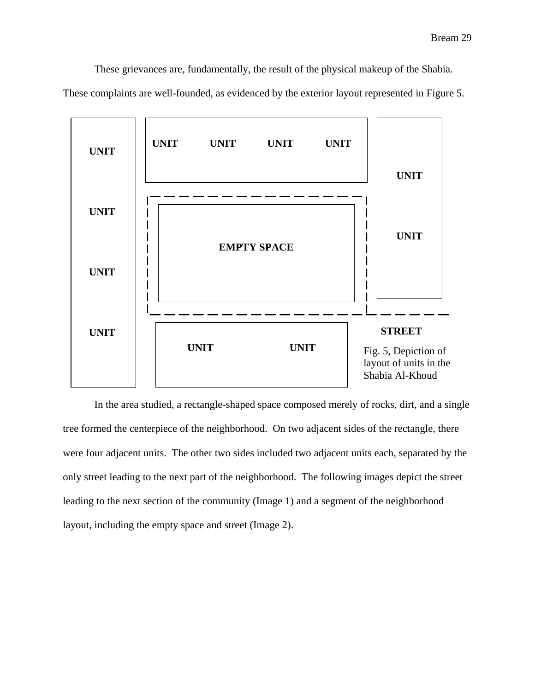These grievances are, fundamentally, the result of the physical makeup of the Shabia.

These complaints are well-founded, as evidenced by the exterior layout represented in Figure 5.



 In the area studied, a rectangle-shaped space composed merely of rocks, dirt, and a single tree formed the centerpiece of the neighborhood. On two adjacent sides of the rectangle, there were four adjacent units. The other two sides included two adjacent units each, separated by the only street leading to the next part of the neighborhood. The following images depict the street leading to the next section of the community (Image 1) and a segment of the neighborhood layout, including the empty space and street (Image 2).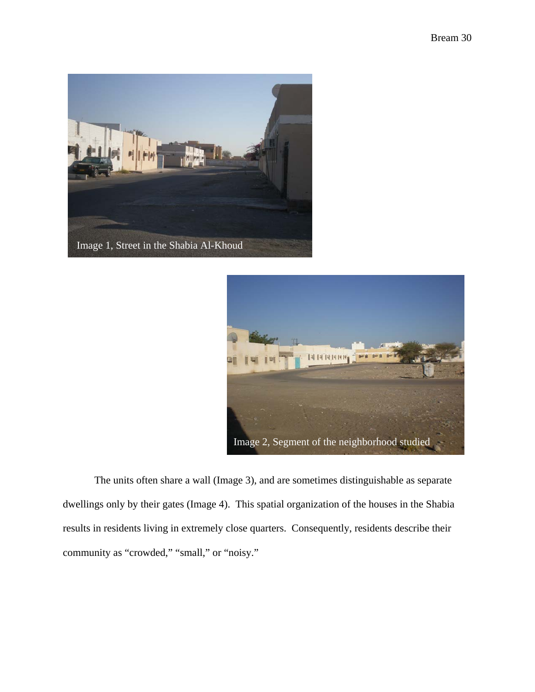



 The units often share a wall (Image 3), and are sometimes distinguishable as separate dwellings only by their gates (Image 4). This spatial organization of the houses in the Shabia results in residents living in extremely close quarters. Consequently, residents describe their community as "crowded," "small," or "noisy."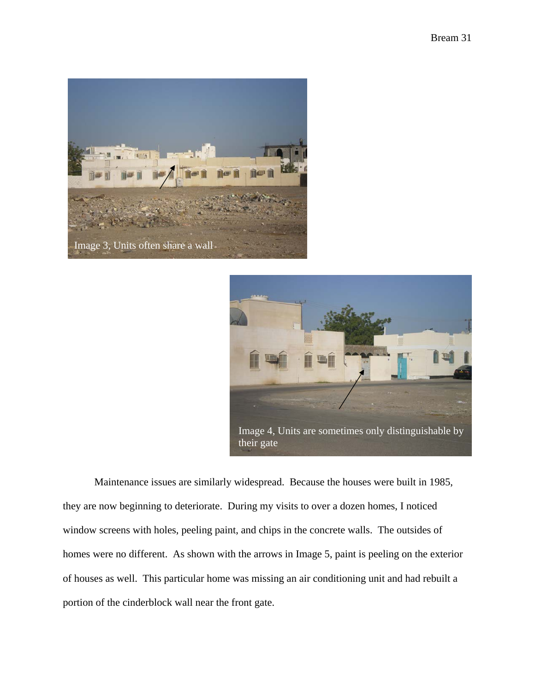



 Maintenance issues are similarly widespread. Because the houses were built in 1985, they are now beginning to deteriorate. During my visits to over a dozen homes, I noticed window screens with holes, peeling paint, and chips in the concrete walls. The outsides of homes were no different. As shown with the arrows in Image 5, paint is peeling on the exterior of houses as well. This particular home was missing an air conditioning unit and had rebuilt a portion of the cinderblock wall near the front gate.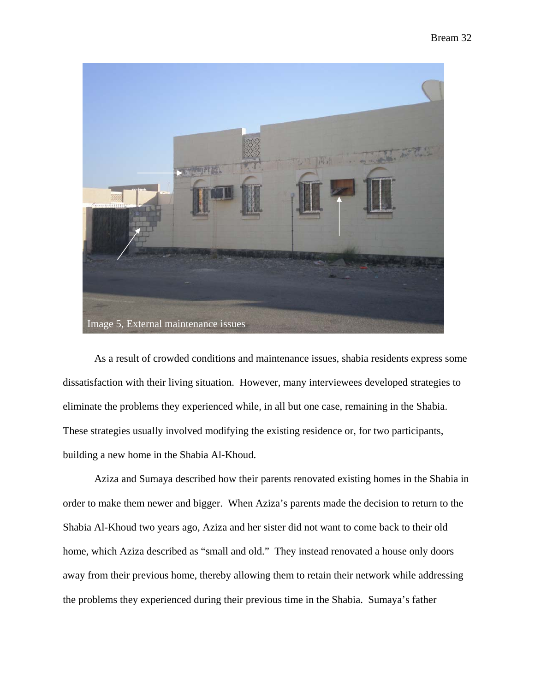

 As a result of crowded conditions and maintenance issues, shabia residents express some dissatisfaction with their living situation. However, many interviewees developed strategies to eliminate the problems they experienced while, in all but one case, remaining in the Shabia. These strategies usually involved modifying the existing residence or, for two participants, building a new home in the Shabia Al-Khoud.

 Aziza and Sumaya described how their parents renovated existing homes in the Shabia in order to make them newer and bigger. When Aziza's parents made the decision to return to the Shabia Al-Khoud two years ago, Aziza and her sister did not want to come back to their old home, which Aziza described as "small and old." They instead renovated a house only doors away from their previous home, thereby allowing them to retain their network while addressing the problems they experienced during their previous time in the Shabia. Sumaya's father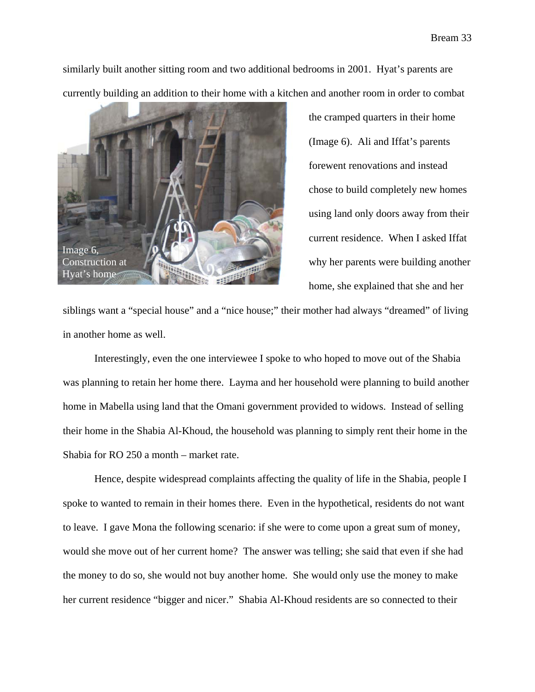similarly built another sitting room and two additional bedrooms in 2001. Hyat's parents are currently building an addition to their home with a kitchen and another room in order to combat



the cramped quarters in their home (Image 6). Ali and Iffat's parents forewent renovations and instead chose to build completely new homes using land only doors away from their current residence. When I asked Iffat why her parents were building another home, she explained that she and her

siblings want a "special house" and a "nice house;" their mother had always "dreamed" of living in another home as well.

 Interestingly, even the one interviewee I spoke to who hoped to move out of the Shabia was planning to retain her home there. Layma and her household were planning to build another home in Mabella using land that the Omani government provided to widows. Instead of selling their home in the Shabia Al-Khoud, the household was planning to simply rent their home in the Shabia for RO 250 a month – market rate.

 Hence, despite widespread complaints affecting the quality of life in the Shabia, people I spoke to wanted to remain in their homes there. Even in the hypothetical, residents do not want to leave. I gave Mona the following scenario: if she were to come upon a great sum of money, would she move out of her current home? The answer was telling; she said that even if she had the money to do so, she would not buy another home. She would only use the money to make her current residence "bigger and nicer." Shabia Al-Khoud residents are so connected to their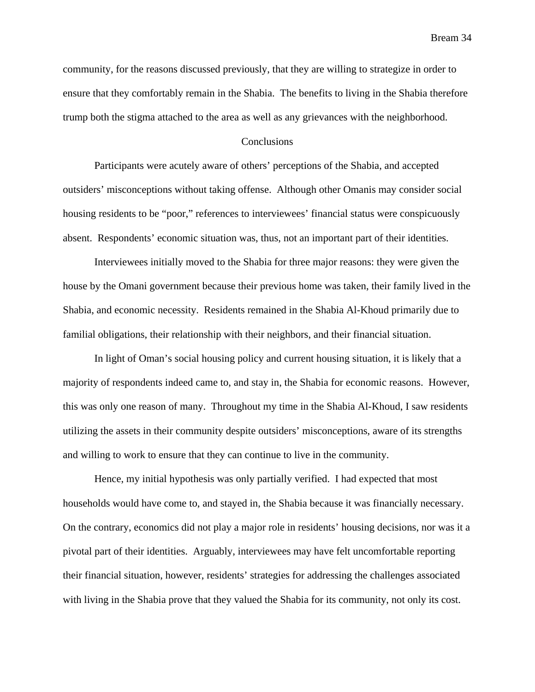community, for the reasons discussed previously, that they are willing to strategize in order to ensure that they comfortably remain in the Shabia. The benefits to living in the Shabia therefore trump both the stigma attached to the area as well as any grievances with the neighborhood.

## Conclusions

 Participants were acutely aware of others' perceptions of the Shabia, and accepted outsiders' misconceptions without taking offense. Although other Omanis may consider social housing residents to be "poor," references to interviewees' financial status were conspicuously absent. Respondents' economic situation was, thus, not an important part of their identities.

 Interviewees initially moved to the Shabia for three major reasons: they were given the house by the Omani government because their previous home was taken, their family lived in the Shabia, and economic necessity. Residents remained in the Shabia Al-Khoud primarily due to familial obligations, their relationship with their neighbors, and their financial situation.

 In light of Oman's social housing policy and current housing situation, it is likely that a majority of respondents indeed came to, and stay in, the Shabia for economic reasons. However, this was only one reason of many. Throughout my time in the Shabia Al-Khoud, I saw residents utilizing the assets in their community despite outsiders' misconceptions, aware of its strengths and willing to work to ensure that they can continue to live in the community.

 Hence, my initial hypothesis was only partially verified. I had expected that most households would have come to, and stayed in, the Shabia because it was financially necessary. On the contrary, economics did not play a major role in residents' housing decisions, nor was it a pivotal part of their identities. Arguably, interviewees may have felt uncomfortable reporting their financial situation, however, residents' strategies for addressing the challenges associated with living in the Shabia prove that they valued the Shabia for its community, not only its cost.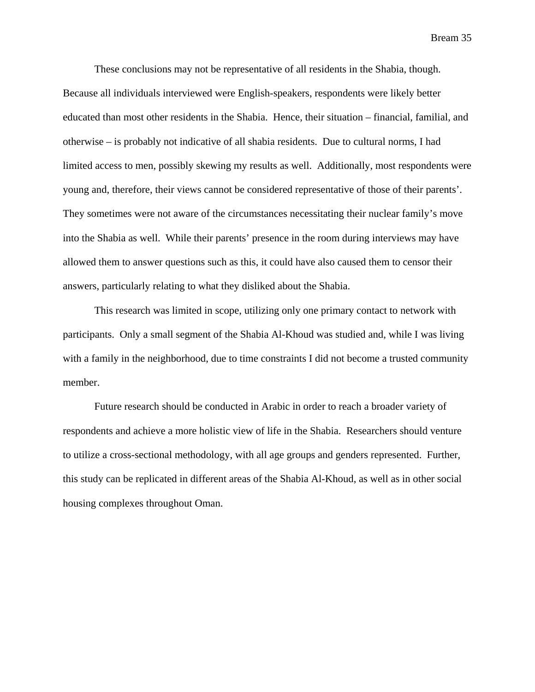These conclusions may not be representative of all residents in the Shabia, though. Because all individuals interviewed were English-speakers, respondents were likely better educated than most other residents in the Shabia. Hence, their situation – financial, familial, and otherwise – is probably not indicative of all shabia residents. Due to cultural norms, I had limited access to men, possibly skewing my results as well. Additionally, most respondents were young and, therefore, their views cannot be considered representative of those of their parents'. They sometimes were not aware of the circumstances necessitating their nuclear family's move into the Shabia as well. While their parents' presence in the room during interviews may have allowed them to answer questions such as this, it could have also caused them to censor their answers, particularly relating to what they disliked about the Shabia.

 This research was limited in scope, utilizing only one primary contact to network with participants. Only a small segment of the Shabia Al-Khoud was studied and, while I was living with a family in the neighborhood, due to time constraints I did not become a trusted community member.

 Future research should be conducted in Arabic in order to reach a broader variety of respondents and achieve a more holistic view of life in the Shabia. Researchers should venture to utilize a cross-sectional methodology, with all age groups and genders represented. Further, this study can be replicated in different areas of the Shabia Al-Khoud, as well as in other social housing complexes throughout Oman.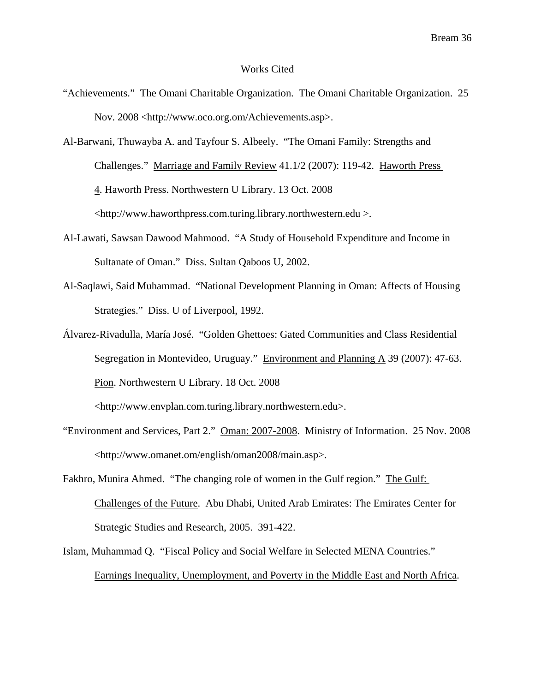#### Works Cited

"Achievements." The Omani Charitable Organization. The Omani Charitable Organization. 25 Nov. 2008 [<http://www.oco.org.om/Achievements.asp>](http://www.oco.org.om/Achievements.asp).

Al-Barwani, Thuwayba A. and Tayfour S. Albeely. "The Omani Family: Strengths and Challenges." Marriage and Family Review 41.1/2 (2007): 119-42. Haworth Press 4. Haworth Press. Northwestern U Library. 13 Oct. 2008 <http://www.haworthpress.com.turing.library.northwestern.edu >.

- Al-Lawati, Sawsan Dawood Mahmood. "A Study of Household Expenditure and Income in Sultanate of Oman." Diss. Sultan Qaboos U, 2002.
- Al-Saqlawi, Said Muhammad. "National Development Planning in Oman: Affects of Housing Strategies." Diss. U of Liverpool, 1992.
- Álvarez-Rivadulla, María José. "Golden Ghettoes: Gated Communities and Class Residential Segregation in Montevideo, Uruguay." Environment and Planning A 39 (2007): 47-63. Pion. Northwestern U Library. 18 Oct. 2008

<http://www.envplan.com.turing.library.northwestern.edu>.

- "Environment and Services, Part 2." Oman: 2007-2008. Ministry of Information. 25 Nov. 2008 <<http://www.omanet.om/english/oman2008/main.asp>>.
- Fakhro, Munira Ahmed. "The changing role of women in the Gulf region." The Gulf: Challenges of the Future. Abu Dhabi, United Arab Emirates: The Emirates Center for Strategic Studies and Research, 2005. 391-422.
- Islam, Muhammad Q. "Fiscal Policy and Social Welfare in Selected MENA Countries." Earnings Inequality, Unemployment, and Poverty in the Middle East and North Africa.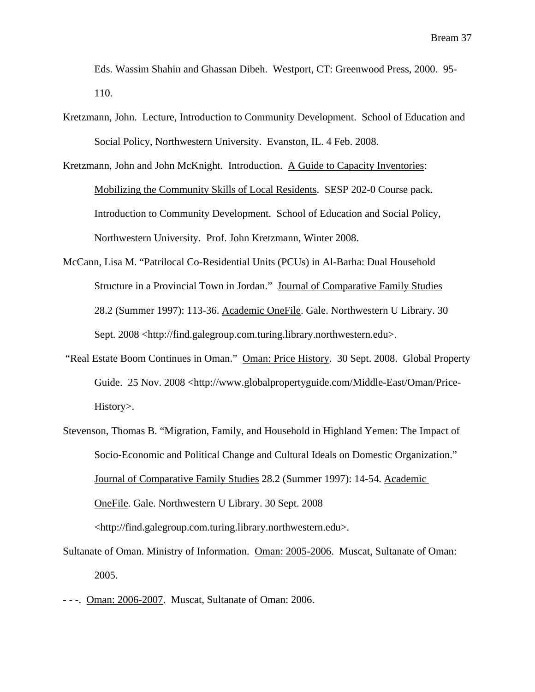Eds. Wassim Shahin and Ghassan Dibeh. Westport, CT: Greenwood Press, 2000. 95- 110.

- Kretzmann, John. Lecture, Introduction to Community Development. School of Education and Social Policy, Northwestern University. Evanston, IL. 4 Feb. 2008.
- Kretzmann, John and John McKnight. Introduction. A Guide to Capacity Inventories: Mobilizing the Community Skills of Local Residents. SESP 202-0 Course pack. Introduction to Community Development. School of Education and Social Policy, Northwestern University. Prof. John Kretzmann, Winter 2008.
- McCann, Lisa M. "Patrilocal Co-Residential Units (PCUs) in Al-Barha: Dual Household Structure in a Provincial Town in Jordan." Journal of Comparative Family Studies 28.2 (Summer 1997): 113-36. Academic OneFile. Gale. Northwestern U Library. 30 Sept. 2008 <http://find.galegroup.com.turing.library.northwestern.edu>.
- "Real Estate Boom Continues in Oman." Oman: Price History. 30 Sept. 2008. Global Property Guide. 25 Nov. 2008 <[http://www.globalpropertyguide.com/Middle-East/Oman/Price-](http://www.globalpropertyguide.com/Middle-East/Oman/Price-History)  [History](http://www.globalpropertyguide.com/Middle-East/Oman/Price-History)>.
- Stevenson, Thomas B. "Migration, Family, and Household in Highland Yemen: The Impact of Socio-Economic and Political Change and Cultural Ideals on Domestic Organization." Journal of Comparative Family Studies 28.2 (Summer 1997): 14-54. Academic OneFile. Gale. Northwestern U Library. 30 Sept. 2008 <http://find.galegroup.com.turing.library.northwestern.edu>.
- Sultanate of Oman. Ministry of Information. Oman: 2005-2006. Muscat, Sultanate of Oman: 2005.
- - -. Oman: 2006-2007. Muscat, Sultanate of Oman: 2006.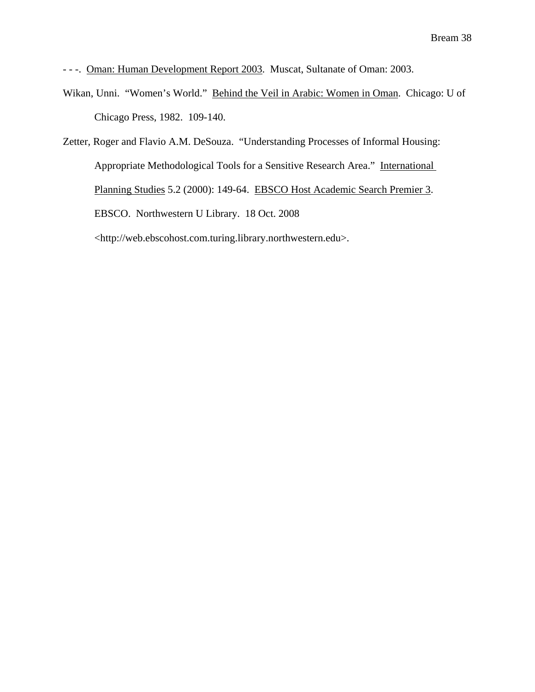- - -. Oman: Human Development Report 2003. Muscat, Sultanate of Oman: 2003.

Wikan, Unni. "Women's World." Behind the Veil in Arabic: Women in Oman. Chicago: U of Chicago Press, 1982. 109-140.

Zetter, Roger and Flavio A.M. DeSouza. "Understanding Processes of Informal Housing: Appropriate Methodological Tools for a Sensitive Research Area." International Planning Studies 5.2 (2000): 149-64. EBSCO Host Academic Search Premier 3. EBSCO. Northwestern U Library. 18 Oct. 2008 <http://web.ebscohost.com.turing.library.northwestern.edu>.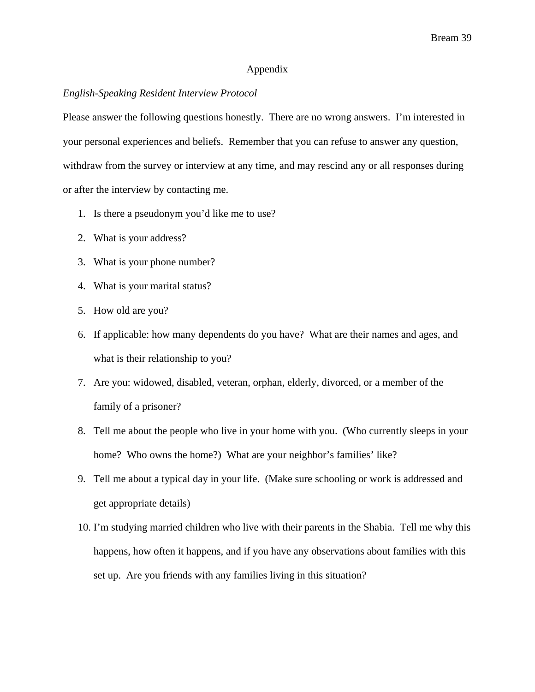# Appendix

## *English-Speaking Resident Interview Protocol*

Please answer the following questions honestly. There are no wrong answers. I'm interested in your personal experiences and beliefs. Remember that you can refuse to answer any question, withdraw from the survey or interview at any time, and may rescind any or all responses during or after the interview by contacting me.

- 1. Is there a pseudonym you'd like me to use?
- 2. What is your address?
- 3. What is your phone number?
- 4. What is your marital status?
- 5. How old are you?
- 6. If applicable: how many dependents do you have? What are their names and ages, and what is their relationship to you?
- 7. Are you: widowed, disabled, veteran, orphan, elderly, divorced, or a member of the family of a prisoner?
- 8. Tell me about the people who live in your home with you. (Who currently sleeps in your home? Who owns the home?) What are your neighbor's families' like?
- 9. Tell me about a typical day in your life. (Make sure schooling or work is addressed and get appropriate details)
- 10. I'm studying married children who live with their parents in the Shabia. Tell me why this happens, how often it happens, and if you have any observations about families with this set up. Are you friends with any families living in this situation?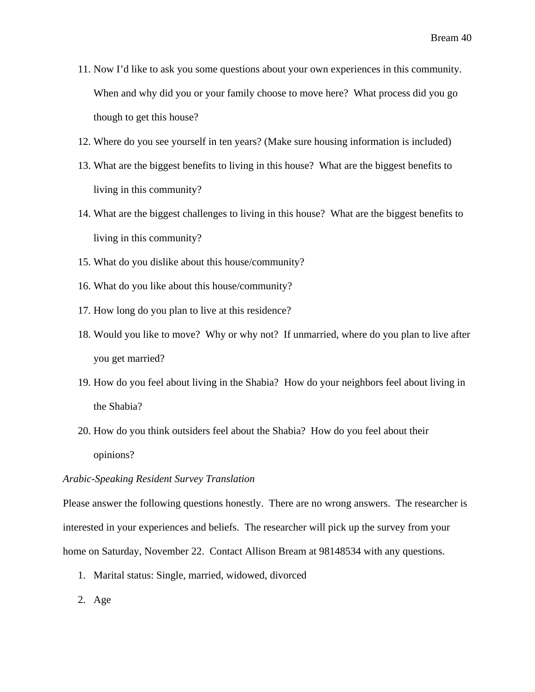- 11. Now I'd like to ask you some questions about your own experiences in this community. When and why did you or your family choose to move here? What process did you go though to get this house?
- 12. Where do you see yourself in ten years? (Make sure housing information is included)
- 13. What are the biggest benefits to living in this house? What are the biggest benefits to living in this community?
- 14. What are the biggest challenges to living in this house? What are the biggest benefits to living in this community?
- 15. What do you dislike about this house/community?
- 16. What do you like about this house/community?
- 17. How long do you plan to live at this residence?
- 18. Would you like to move? Why or why not? If unmarried, where do you plan to live after you get married?
- 19. How do you feel about living in the Shabia? How do your neighbors feel about living in the Shabia?
- 20. How do you think outsiders feel about the Shabia? How do you feel about their opinions?

### *Arabic-Speaking Resident Survey Translation*

Please answer the following questions honestly. There are no wrong answers. The researcher is interested in your experiences and beliefs. The researcher will pick up the survey from your home on Saturday, November 22. Contact Allison Bream at 98148534 with any questions.

- 1. Marital status: Single, married, widowed, divorced
- 2. Age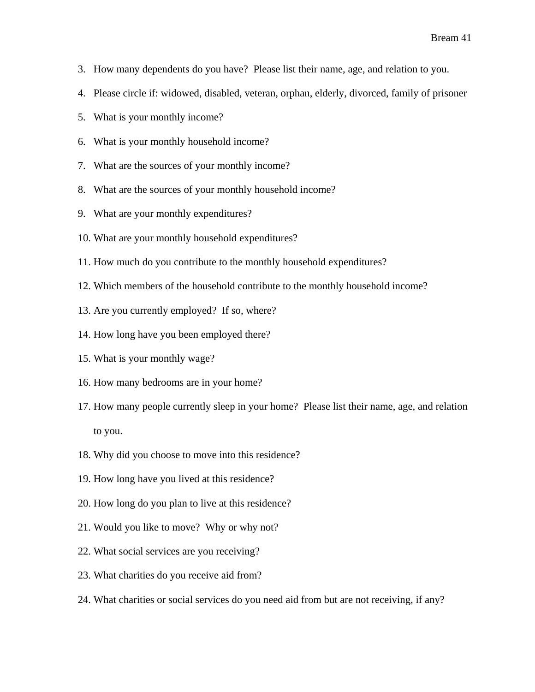- 3. How many dependents do you have? Please list their name, age, and relation to you.
- 4. Please circle if: widowed, disabled, veteran, orphan, elderly, divorced, family of prisoner
- 5. What is your monthly income?
- 6. What is your monthly household income?
- 7. What are the sources of your monthly income?
- 8. What are the sources of your monthly household income?
- 9. What are your monthly expenditures?
- 10. What are your monthly household expenditures?
- 11. How much do you contribute to the monthly household expenditures?
- 12. Which members of the household contribute to the monthly household income?
- 13. Are you currently employed? If so, where?
- 14. How long have you been employed there?
- 15. What is your monthly wage?
- 16. How many bedrooms are in your home?
- 17. How many people currently sleep in your home? Please list their name, age, and relation to you.
- 18. Why did you choose to move into this residence?
- 19. How long have you lived at this residence?
- 20. How long do you plan to live at this residence?
- 21. Would you like to move? Why or why not?
- 22. What social services are you receiving?
- 23. What charities do you receive aid from?
- 24. What charities or social services do you need aid from but are not receiving, if any?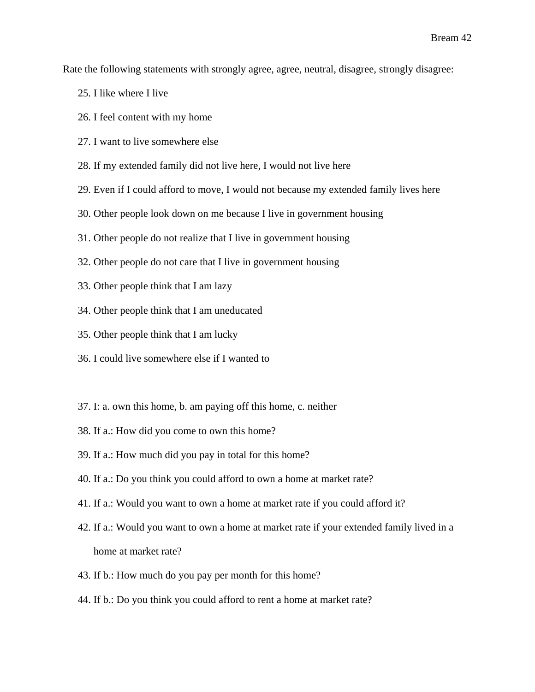Rate the following statements with strongly agree, agree, neutral, disagree, strongly disagree:

- 25. I like where I live
- 26. I feel content with my home
- 27. I want to live somewhere else
- 28. If my extended family did not live here, I would not live here
- 29. Even if I could afford to move, I would not because my extended family lives here
- 30. Other people look down on me because I live in government housing
- 31. Other people do not realize that I live in government housing
- 32. Other people do not care that I live in government housing
- 33. Other people think that I am lazy
- 34. Other people think that I am uneducated
- 35. Other people think that I am lucky
- 36. I could live somewhere else if I wanted to
- 37. I: a. own this home, b. am paying off this home, c. neither
- 38. If a.: How did you come to own this home?
- 39. If a.: How much did you pay in total for this home?
- 40. If a.: Do you think you could afford to own a home at market rate?
- 41. If a.: Would you want to own a home at market rate if you could afford it?
- 42. If a.: Would you want to own a home at market rate if your extended family lived in a home at market rate?
- 43. If b.: How much do you pay per month for this home?
- 44. If b.: Do you think you could afford to rent a home at market rate?